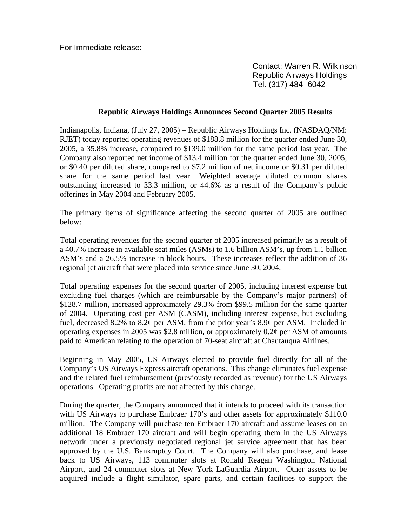For Immediate release:

 Contact: Warren R. Wilkinson Republic Airways Holdings Tel. (317) 484- 6042

## **Republic Airways Holdings Announces Second Quarter 2005 Results**

Indianapolis, Indiana, (July 27, 2005) – Republic Airways Holdings Inc. (NASDAQ/NM: RJET) today reported operating revenues of \$188.8 million for the quarter ended June 30, 2005, a 35.8% increase, compared to \$139.0 million for the same period last year. The Company also reported net income of \$13.4 million for the quarter ended June 30, 2005, or \$0.40 per diluted share, compared to \$7.2 million of net income or \$0.31 per diluted share for the same period last year. Weighted average diluted common shares outstanding increased to 33.3 million, or 44.6% as a result of the Company's public offerings in May 2004 and February 2005.

The primary items of significance affecting the second quarter of 2005 are outlined below:

Total operating revenues for the second quarter of 2005 increased primarily as a result of a 40.7% increase in available seat miles (ASMs) to 1.6 billion ASM's, up from 1.1 billion ASM's and a 26.5% increase in block hours. These increases reflect the addition of 36 regional jet aircraft that were placed into service since June 30, 2004.

Total operating expenses for the second quarter of 2005, including interest expense but excluding fuel charges (which are reimbursable by the Company's major partners) of \$128.7 million, increased approximately 29.3% from \$99.5 million for the same quarter of 2004. Operating cost per ASM (CASM), including interest expense, but excluding fuel, decreased 8.2% to 8.2¢ per ASM, from the prior year's 8.9¢ per ASM. Included in operating expenses in 2005 was \$2.8 million, or approximately 0.2¢ per ASM of amounts paid to American relating to the operation of 70-seat aircraft at Chautauqua Airlines.

Beginning in May 2005, US Airways elected to provide fuel directly for all of the Company's US Airways Express aircraft operations. This change eliminates fuel expense and the related fuel reimbursement (previously recorded as revenue) for the US Airways operations. Operating profits are not affected by this change.

During the quarter, the Company announced that it intends to proceed with its transaction with US Airways to purchase Embraer 170's and other assets for approximately \$110.0 million. The Company will purchase ten Embraer 170 aircraft and assume leases on an additional 18 Embraer 170 aircraft and will begin operating them in the US Airways network under a previously negotiated regional jet service agreement that has been approved by the U.S. Bankruptcy Court. The Company will also purchase, and lease back to US Airways, 113 commuter slots at Ronald Reagan Washington National Airport, and 24 commuter slots at New York LaGuardia Airport. Other assets to be acquired include a flight simulator, spare parts, and certain facilities to support the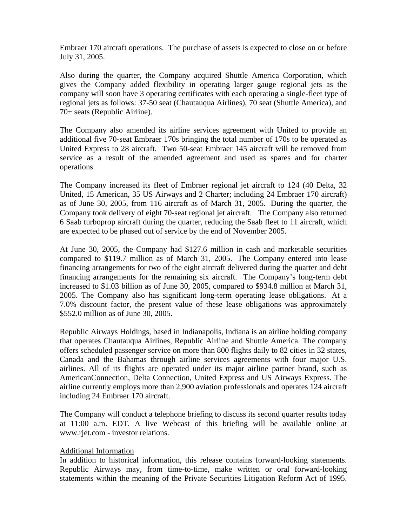Embraer 170 aircraft operations. The purchase of assets is expected to close on or before July 31, 2005.

Also during the quarter, the Company acquired Shuttle America Corporation, which gives the Company added flexibility in operating larger gauge regional jets as the company will soon have 3 operating certificates with each operating a single-fleet type of regional jets as follows: 37-50 seat (Chautauqua Airlines), 70 seat (Shuttle America), and 70+ seats (Republic Airline).

The Company also amended its airline services agreement with United to provide an additional five 70-seat Embraer 170s bringing the total number of 170s to be operated as United Express to 28 aircraft. Two 50-seat Embraer 145 aircraft will be removed from service as a result of the amended agreement and used as spares and for charter operations.

The Company increased its fleet of Embraer regional jet aircraft to 124 (40 Delta, 32 United, 15 American, 35 US Airways and 2 Charter; including 24 Embraer 170 aircraft) as of June 30, 2005, from 116 aircraft as of March 31, 2005. During the quarter, the Company took delivery of eight 70-seat regional jet aircraft. The Company also returned 6 Saab turboprop aircraft during the quarter, reducing the Saab fleet to 11 aircraft, which are expected to be phased out of service by the end of November 2005.

At June 30, 2005, the Company had \$127.6 million in cash and marketable securities compared to \$119.7 million as of March 31, 2005. The Company entered into lease financing arrangements for two of the eight aircraft delivered during the quarter and debt financing arrangements for the remaining six aircraft. The Company's long-term debt increased to \$1.03 billion as of June 30, 2005, compared to \$934.8 million at March 31, 2005. The Company also has significant long-term operating lease obligations. At a 7.0% discount factor, the present value of these lease obligations was approximately \$552.0 million as of June 30, 2005.

Republic Airways Holdings, based in Indianapolis, Indiana is an airline holding company that operates Chautauqua Airlines, Republic Airline and Shuttle America. The company offers scheduled passenger service on more than 800 flights daily to 82 cities in 32 states, Canada and the Bahamas through airline services agreements with four major U.S. airlines. All of its flights are operated under its major airline partner brand, such as AmericanConnection, Delta Connection, United Express and US Airways Express. The airline currently employs more than 2,900 aviation professionals and operates 124 aircraft including 24 Embraer 170 aircraft.

The Company will conduct a telephone briefing to discuss its second quarter results today at 11:00 a.m. EDT. A live Webcast of this briefing will be available online at www.rjet.com - investor relations.

## Additional Information

In addition to historical information, this release contains forward-looking statements. Republic Airways may, from time-to-time, make written or oral forward-looking statements within the meaning of the Private Securities Litigation Reform Act of 1995.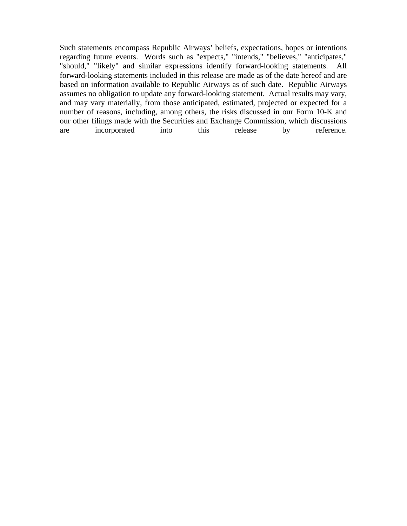Such statements encompass Republic Airways' beliefs, expectations, hopes or intentions regarding future events. Words such as "expects," "intends," "believes," "anticipates," "should," "likely" and similar expressions identify forward-looking statements. All forward-looking statements included in this release are made as of the date hereof and are based on information available to Republic Airways as of such date. Republic Airways assumes no obligation to update any forward-looking statement. Actual results may vary, and may vary materially, from those anticipated, estimated, projected or expected for a number of reasons, including, among others, the risks discussed in our Form 10-K and our other filings made with the Securities and Exchange Commission, which discussions are incorporated into this release by reference.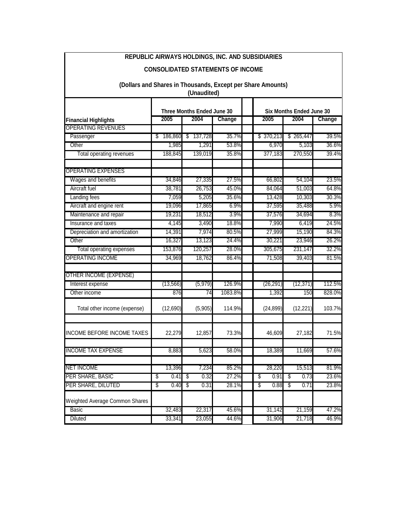| <b>CONSOLIDATED STATEMENTS OF INCOME</b>                                   |                                                      |              |         |                                                           |            |        |  |  |  |  |  |
|----------------------------------------------------------------------------|------------------------------------------------------|--------------|---------|-----------------------------------------------------------|------------|--------|--|--|--|--|--|
| (Dollars and Shares in Thousands, Except per Share Amounts)<br>(Unaudited) |                                                      |              |         |                                                           |            |        |  |  |  |  |  |
|                                                                            |                                                      |              |         |                                                           |            |        |  |  |  |  |  |
|                                                                            | Three Months Ended June 30<br>2005<br>2004<br>Change |              |         | <b>Six Months Ended June 30</b><br>2005<br>2004<br>Change |            |        |  |  |  |  |  |
| <b>Financial Highlights</b><br><b>OPERATING REVENUES</b>                   |                                                      |              |         |                                                           |            |        |  |  |  |  |  |
| Passenger                                                                  | 186,860<br>S.                                        | 137,728<br>S | 35.7%   | \$370,213                                                 | \$265,447  | 39.5%  |  |  |  |  |  |
| Other                                                                      | 1,985                                                | 1,291        | 53.8%   | 6,970                                                     | 5,103      | 36.6%  |  |  |  |  |  |
| Total operating revenues                                                   | 188,845                                              | 139,019      | 35.8%   | 377,183                                                   | 270,550    | 39.4%  |  |  |  |  |  |
| <b>OPERATING EXPENSES</b>                                                  |                                                      |              |         |                                                           |            |        |  |  |  |  |  |
| Wages and benefits                                                         | 34,846                                               | 27,335       | 27.5%   | 66,802                                                    | 54,104     | 23.5%  |  |  |  |  |  |
| Aircraft fuel                                                              | 38,781                                               | 26,753       | 45.0%   | 84,064                                                    | 51,003     | 64.8%  |  |  |  |  |  |
| Landing fees                                                               | 7,059                                                | 5,205        | 35.6%   | 13,428                                                    | 10,303     | 30.3%  |  |  |  |  |  |
| Aircraft and engine rent                                                   | 19.096                                               | 17,865       | 6.9%    | 37,595                                                    | 35,488     | 5.9%   |  |  |  |  |  |
| Maintenance and repair                                                     | 19,231                                               | 18,512       | 3.9%    | 37,576                                                    | 34,694     | 8.3%   |  |  |  |  |  |
| Insurance and taxes                                                        | 4,145                                                | 3,490        | 18.8%   | 7,990                                                     | 6,419      | 24.5%  |  |  |  |  |  |
| Depreciation and amortization                                              | 14,391                                               | 7,974        | 80.5%   | 27,999                                                    | 15,190     | 84.3%  |  |  |  |  |  |
| Other                                                                      | 16,327                                               | 13,123       | 24.4%   | 30,221                                                    | 23,946     | 26.2%  |  |  |  |  |  |
| Total operating expenses                                                   | 153,876                                              | 120,257      | 28.0%   | 305,675                                                   | 231,147    | 32.2%  |  |  |  |  |  |
| <b>OPERATING INCOME</b>                                                    | 34,969                                               | 18,762       | 86.4%   | 71,508                                                    | 39,403     | 81.5%  |  |  |  |  |  |
| <b>OTHER INCOME (EXPENSE)</b>                                              |                                                      |              |         |                                                           |            |        |  |  |  |  |  |
| Interest expense                                                           | (13, 566)                                            | (5,979)      | 126.9%  | (26, 291)                                                 | (12, 371)  | 112.5% |  |  |  |  |  |
| Other income                                                               | 876                                                  | 74           | 1083.8% | 1,392                                                     | 150        | 828.0% |  |  |  |  |  |
| Total other income (expense)                                               | (12,690)                                             | (5,905)      | 114.9%  | (24, 899)                                                 | (12, 221)  | 103.7% |  |  |  |  |  |
| <b>INCOME BEFORE INCOME TAXES</b>                                          | 22,279                                               | 12,857       | 73.3%   | 46,609                                                    | 27,182     | 71.5%  |  |  |  |  |  |
| <b>INCOME TAX EXPENSE</b>                                                  | 8,883                                                | 5,623        | 58.0%   | 18,389                                                    | 11,669     | 57.6%  |  |  |  |  |  |
| <b>NET INCOME</b>                                                          | 13,396                                               | 7,234        | 85.2%   | 28,220                                                    | 15,513     | 81.9%  |  |  |  |  |  |
| PER SHARE, BASIC                                                           | \$<br>0.41                                           | \$<br>0.32   | 27.2%   | 0.91<br>\$                                                | \$<br>0.73 | 23.6%  |  |  |  |  |  |
| PER SHARE, DILUTED                                                         | \$<br>0.40                                           | -\$<br>0.31  | 28.1%   | \$<br>0.88                                                | \$<br>0.71 | 23.8%  |  |  |  |  |  |
| <b>Weighted Average Common Shares</b>                                      |                                                      |              |         |                                                           |            |        |  |  |  |  |  |
| <b>Basic</b>                                                               | 32,483                                               | 22,317       | 45.6%   | 31,142                                                    | 21,159     | 47.2%  |  |  |  |  |  |
| <b>Diluted</b>                                                             | 33,341                                               | 23,055       | 44.6%   | 31,906                                                    | 21,718     | 46.9%  |  |  |  |  |  |

**REPUBLIC AIRWAYS HOLDINGS, INC. AND SUBSIDIARIES**

 $\overline{\phantom{a}}$